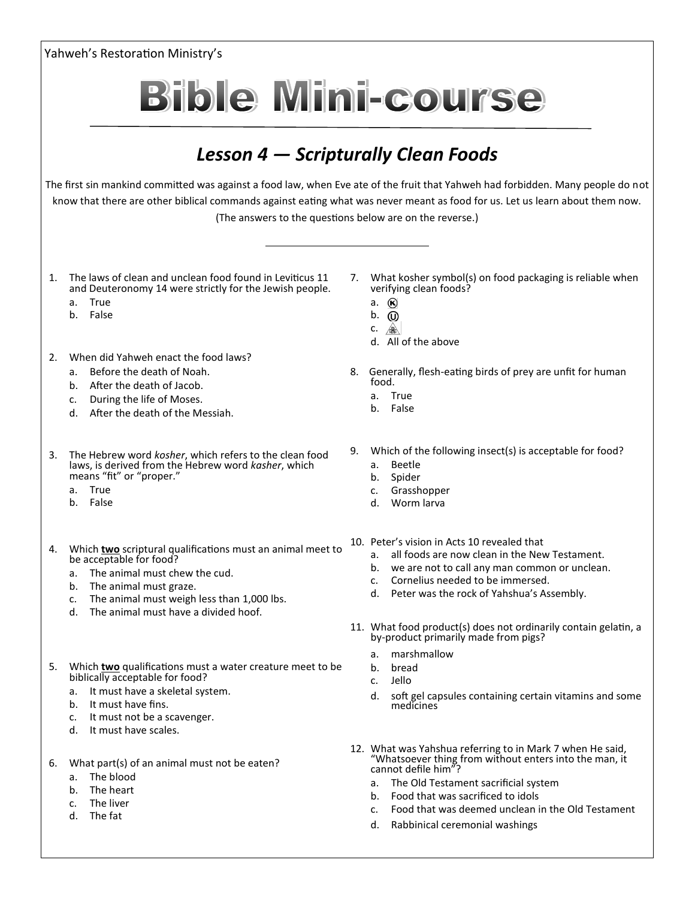| Yahweh's Restoration Ministry's                                                                                                                                                                                                                                                                                                                                    |                                                                                                                                                                                                                                                                                                                                        |
|--------------------------------------------------------------------------------------------------------------------------------------------------------------------------------------------------------------------------------------------------------------------------------------------------------------------------------------------------------------------|----------------------------------------------------------------------------------------------------------------------------------------------------------------------------------------------------------------------------------------------------------------------------------------------------------------------------------------|
|                                                                                                                                                                                                                                                                                                                                                                    | <b>Bible Mini-course</b>                                                                                                                                                                                                                                                                                                               |
| Lesson 4 – Scripturally Clean Foods<br>The first sin mankind committed was against a food law, when Eve ate of the fruit that Yahweh had forbidden. Many people do not<br>know that there are other biblical commands against eating what was never meant as food for us. Let us learn about them now.<br>(The answers to the questions below are on the reverse.) |                                                                                                                                                                                                                                                                                                                                        |
|                                                                                                                                                                                                                                                                                                                                                                    |                                                                                                                                                                                                                                                                                                                                        |
| When did Yahweh enact the food laws?<br>2.<br>Before the death of Noah.<br>a.<br>b. After the death of Jacob.<br>During the life of Moses.<br>c.<br>d. After the death of the Messiah.                                                                                                                                                                             | 8. Generally, flesh-eating birds of prey are unfit for human<br>food.<br>True<br>a.<br>b. False                                                                                                                                                                                                                                        |
| The Hebrew word kosher, which refers to the clean food<br>3.<br>laws, is derived from the Hebrew word kasher, which<br>means "fit" or "proper."<br>True<br>a.<br>b. False                                                                                                                                                                                          | Which of the following insect(s) is acceptable for food?<br>9.<br>Beetle<br>a.<br>Spider<br>b.<br>Grasshopper<br>c.<br>Worm larva<br>d.                                                                                                                                                                                                |
| Which two scriptural qualifications must an animal meet to<br>be acceptable for food?<br>The animal must chew the cud.<br>a.<br>The animal must graze.<br>b.<br>The animal must weigh less than 1,000 lbs.<br>c.<br>The animal must have a divided hoof.<br>d.                                                                                                     | 10. Peter's vision in Acts 10 revealed that<br>all foods are now clean in the New Testament.<br>а.<br>we are not to call any man common or unclean.<br>b.<br>Cornelius needed to be immersed.<br>$C_{\star}$<br>Peter was the rock of Yahshua's Assembly.<br>d.                                                                        |
| Which <b>two</b> qualifications must a water creature meet to be<br>5.<br>biblically acceptable for food?                                                                                                                                                                                                                                                          | 11. What food product(s) does not ordinarily contain gelatin, a<br>by-product primarily made from pigs?<br>marshmallow<br>a.<br>bread<br>b.<br>Jello<br>C <sub>1</sub>                                                                                                                                                                 |
| a. It must have a skeletal system.<br>b. It must have fins.<br>It must not be a scavenger.<br>c.<br>It must have scales.<br>d.                                                                                                                                                                                                                                     | soft gel capsules containing certain vitamins and some<br>d.<br>medicines                                                                                                                                                                                                                                                              |
| What part(s) of an animal must not be eaten?<br>6.<br>The blood<br>а.<br>The heart<br>b.<br>The liver<br>c.<br>The fat<br>d.                                                                                                                                                                                                                                       | 12. What was Yahshua referring to in Mark 7 when He said,<br>"Whatsoever thing from without enters into the man, it<br>cannot defile him"?<br>The Old Testament sacrificial system<br>а.<br>Food that was sacrificed to idols<br>b.<br>Food that was deemed unclean in the Old Testament<br>c.<br>Rabbinical ceremonial washings<br>d. |